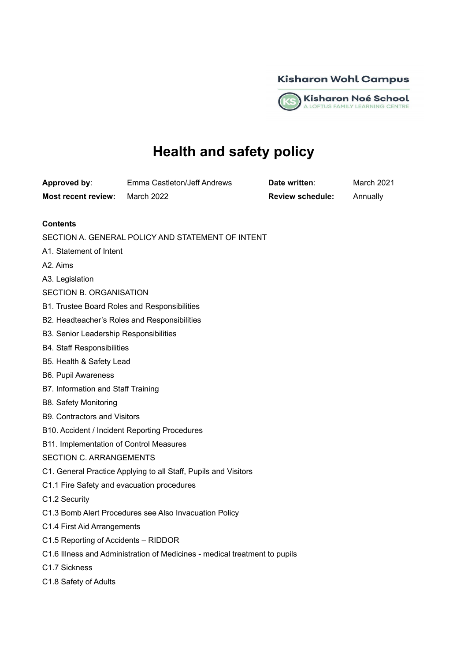



# **Health and safety policy**

**Approved by**: Emma Castleton/Jeff Andrews **Date written**: March 2021 **Most recent review:** March 2022 **Review schedule:** Annually

# **Contents**

- SECTION A. GENERAL POLICY AND STATEMENT OF INTENT
- A1. Statement of Intent
- A2. Aims
- A3. Legislation
- SECTION B. ORGANISATION
- B1. Trustee Board Roles and Responsibilities
- B2. Headteacher's Roles and Responsibilities
- B3. Senior Leadership Responsibilities
- B4. Staff Responsibilities
- B5. Health & Safety Lead
- B6. Pupil Awareness
- B7. Information and Staff Training
- B8. Safety Monitoring
- B9. Contractors and Visitors
- B10. Accident / Incident Reporting Procedures
- B11. Implementation of Control Measures

# SECTION C. ARRANGEMENTS

- C1. General Practice Applying to all Staff, Pupils and Visitors
- C1.1 Fire Safety and evacuation procedures
- C1.2 Security
- C1.3 Bomb Alert Procedures see Also Invacuation Policy
- C1.4 First Aid Arrangements
- C1.5 Reporting of Accidents RIDDOR
- C1.6 Illness and Administration of Medicines medical treatment to pupils
- C1.7 Sickness
- C1.8 Safety of Adults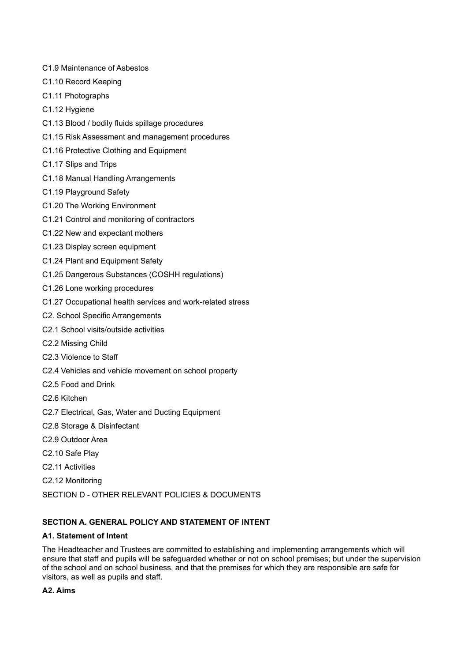- C1.9 Maintenance of Asbestos
- C1.10 Record Keeping
- C1.11 Photographs
- C1.12 Hygiene
- C1.13 Blood / bodily fluids spillage procedures
- C1.15 Risk Assessment and management procedures
- C1.16 Protective Clothing and Equipment
- C1.17 Slips and Trips
- C1.18 Manual Handling Arrangements
- C1.19 Playground Safety
- C1.20 The Working Environment
- C1.21 Control and monitoring of contractors
- C1.22 New and expectant mothers
- C1.23 Display screen equipment
- C1.24 Plant and Equipment Safety
- C1.25 Dangerous Substances (COSHH regulations)
- C1.26 Lone working procedures
- C1.27 Occupational health services and work-related stress
- C2. School Specific Arrangements
- C2.1 School visits/outside activities
- C2.2 Missing Child
- C2.3 Violence to Staff
- C2.4 Vehicles and vehicle movement on school property
- C2.5 Food and Drink
- C2.6 Kitchen
- C2.7 Electrical, Gas, Water and Ducting Equipment
- C2.8 Storage & Disinfectant
- C2.9 Outdoor Area
- C2.10 Safe Play
- C2.11 Activities
- C2.12 Monitoring

SECTION D - OTHER RELEVANT POLICIES & DOCUMENTS

# **SECTION A. GENERAL POLICY AND STATEMENT OF INTENT**

# **A1. Statement of Intent**

The Headteacher and Trustees are committed to establishing and implementing arrangements which will ensure that staff and pupils will be safeguarded whether or not on school premises; but under the supervision of the school and on school business, and that the premises for which they are responsible are safe for visitors, as well as pupils and staff.

# **A2. Aims**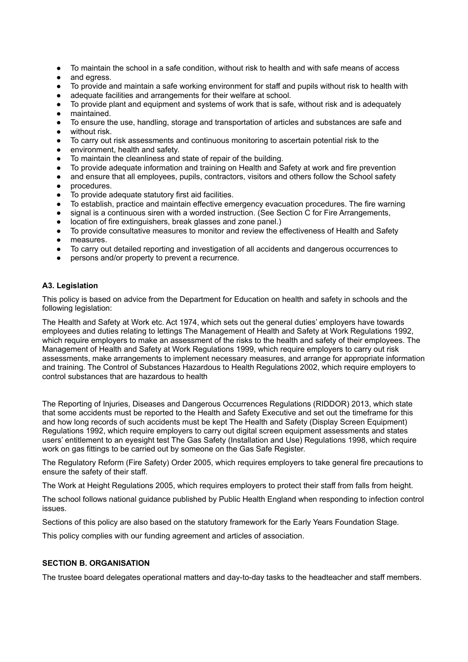- To maintain the school in a safe condition, without risk to health and with safe means of access
- and egress.
- To provide and maintain a safe working environment for staff and pupils without risk to health with
- adequate facilities and arrangements for their welfare at school.
- To provide plant and equipment and systems of work that is safe, without risk and is adequately maintained.
- To ensure the use, handling, storage and transportation of articles and substances are safe and without risk.
- To carry out risk assessments and continuous monitoring to ascertain potential risk to the
- environment, health and safety.
- To maintain the cleanliness and state of repair of the building.
- To provide adequate information and training on Health and Safety at work and fire prevention
- and ensure that all employees, pupils, contractors, visitors and others follow the School safety
- procedures.
- To provide adequate statutory first aid facilities.
- To establish, practice and maintain effective emergency evacuation procedures. The fire warning
- signal is a continuous siren with a worded instruction. (See Section C for Fire Arrangements,
- location of fire extinguishers, break glasses and zone panel.)
- To provide consultative measures to monitor and review the effectiveness of Health and Safety
- measures.
- To carry out detailed reporting and investigation of all accidents and dangerous occurrences to
- persons and/or property to prevent a recurrence.

# **A3. Legislation**

This policy is based on advice from the Department for Education on health and safety in schools and the following legislation:

The Health and Safety at Work etc. Act 1974, which sets out the general duties' employers have towards employees and duties relating to lettings The Management of Health and Safety at Work Regulations 1992, which require employers to make an assessment of the risks to the health and safety of their employees. The Management of Health and Safety at Work Regulations 1999, which require employers to carry out risk assessments, make arrangements to implement necessary measures, and arrange for appropriate information and training. The Control of Substances Hazardous to Health Regulations 2002, which require employers to control substances that are hazardous to health

The Reporting of Injuries, Diseases and Dangerous Occurrences Regulations (RIDDOR) 2013, which state that some accidents must be reported to the Health and Safety Executive and set out the timeframe for this and how long records of such accidents must be kept The Health and Safety (Display Screen Equipment) Regulations 1992, which require employers to carry out digital screen equipment assessments and states users' entitlement to an eyesight test The Gas Safety (Installation and Use) Regulations 1998, which require work on gas fittings to be carried out by someone on the Gas Safe Register.

The Regulatory Reform (Fire Safety) Order 2005, which requires employers to take general fire precautions to ensure the safety of their staff.

The Work at Height Regulations 2005, which requires employers to protect their staff from falls from height.

The school follows national guidance published by Public Health England when responding to infection control issues.

Sections of this policy are also based on the statutory framework for the Early Years Foundation Stage.

This policy complies with our funding agreement and articles of association.

# **SECTION B. ORGANISATION**

The trustee board delegates operational matters and day-to-day tasks to the headteacher and staff members.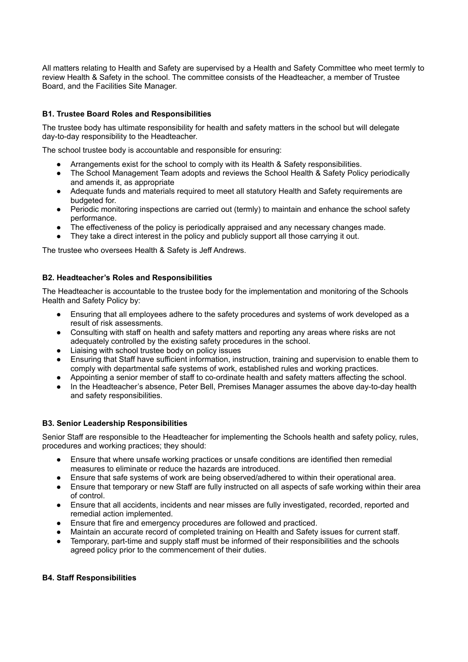All matters relating to Health and Safety are supervised by a Health and Safety Committee who meet termly to review Health & Safety in the school. The committee consists of the Headteacher, a member of Trustee Board, and the Facilities Site Manager.

# **B1. Trustee Board Roles and Responsibilities**

The trustee body has ultimate responsibility for health and safety matters in the school but will delegate day-to-day responsibility to the Headteacher.

The school trustee body is accountable and responsible for ensuring:

- Arrangements exist for the school to comply with its Health & Safety responsibilities.
- The School Management Team adopts and reviews the School Health & Safety Policy periodically and amends it, as appropriate
- Adequate funds and materials required to meet all statutory Health and Safety requirements are budgeted for.
- Periodic monitoring inspections are carried out (termly) to maintain and enhance the school safety performance.
- The effectiveness of the policy is periodically appraised and any necessary changes made.
- They take a direct interest in the policy and publicly support all those carrying it out.

The trustee who oversees Health & Safety is Jeff Andrews.

## **B2. Headteacher's Roles and Responsibilities**

The Headteacher is accountable to the trustee body for the implementation and monitoring of the Schools Health and Safety Policy by:

- Ensuring that all employees adhere to the safety procedures and systems of work developed as a result of risk assessments.
- Consulting with staff on health and safety matters and reporting any areas where risks are not adequately controlled by the existing safety procedures in the school.
- Liaising with school trustee body on policy issues
- Ensuring that Staff have sufficient information, instruction, training and supervision to enable them to comply with departmental safe systems of work, established rules and working practices.
- Appointing a senior member of staff to co-ordinate health and safety matters affecting the school.
- In the Headteacher's absence, Peter Bell, Premises Manager assumes the above day-to-day health and safety responsibilities.

# **B3. Senior Leadership Responsibilities**

Senior Staff are responsible to the Headteacher for implementing the Schools health and safety policy, rules, procedures and working practices; they should:

- Ensure that where unsafe working practices or unsafe conditions are identified then remedial measures to eliminate or reduce the hazards are introduced.
- Ensure that safe systems of work are being observed/adhered to within their operational area.
- Ensure that temporary or new Staff are fully instructed on all aspects of safe working within their area of control.
- Ensure that all accidents, incidents and near misses are fully investigated, recorded, reported and remedial action implemented.
- Ensure that fire and emergency procedures are followed and practiced.
- Maintain an accurate record of completed training on Health and Safety issues for current staff.
- Temporary, part-time and supply staff must be informed of their responsibilities and the schools agreed policy prior to the commencement of their duties.

#### **B4. Staff Responsibilities**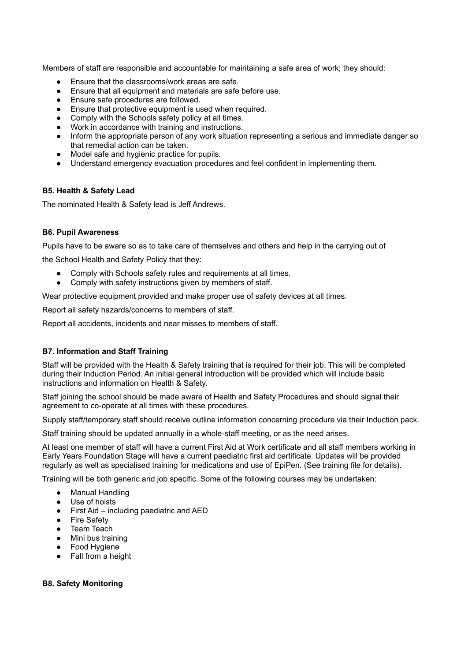Members of staff are responsible and accountable for maintaining a safe area of work; they should:

- Ensure that the classrooms/work areas are safe.
- Ensure that all equipment and materials are safe before use.
- Ensure safe procedures are followed.
- Ensure that protective equipment is used when required.
- Comply with the Schools safety policy at all times.
- Work in accordance with training and instructions.
- Inform the appropriate person of any work situation representing a serious and immediate danger so that remedial action can be taken.
- Model safe and hygienic practice for pupils.
- Understand emergency evacuation procedures and feel confident in implementing them.

## **B5. Health & Safety Lead**

The nominated Health & Safety lead is Jeff Andrews.

## **B6. Pupil Awareness**

Pupils have to be aware so as to take care of themselves and others and help in the carrying out of

the School Health and Safety Policy that they:

- Comply with Schools safety rules and requirements at all times.
- Comply with safety instructions given by members of staff.

Wear protective equipment provided and make proper use of safety devices at all times.

Report all safety hazards/concerns to members of staff.

Report all accidents, incidents and near misses to members of staff.

# **B7. Information and Staff Training**

Staff will be provided with the Health & Safety training that is required for their job. This will be completed during their Induction Period. An initial general introduction will be provided which will include basic instructions and information on Health & Safety.

Staff joining the school should be made aware of Health and Safety Procedures and should signal their agreement to co-operate at all times with these procedures.

Supply staff/temporary staff should receive outline information concerning procedure via their Induction pack.

Staff training should be updated annually in a whole-staff meeting, or as the need arises.

At least one member of staff will have a current First Aid at Work certificate and all staff members working in Early Years Foundation Stage will have a current paediatric first aid certificate. Updates will be provided regularly as well as specialised training for medications and use of EpiPen. (See training file for details).

Training will be both generic and job specific. Some of the following courses may be undertaken:

- Manual Handling
- Use of hoists
- First Aid including paediatric and AED
- Fire Safety
- Team Teach
- Mini bus training
- Food Hygiene
- Fall from a height

# **B8. Safety Monitoring**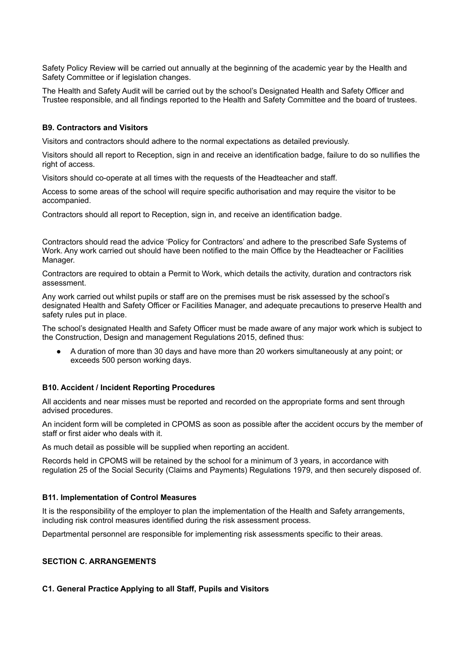Safety Policy Review will be carried out annually at the beginning of the academic year by the Health and Safety Committee or if legislation changes.

The Health and Safety Audit will be carried out by the school's Designated Health and Safety Officer and Trustee responsible, and all findings reported to the Health and Safety Committee and the board of trustees.

#### **B9. Contractors and Visitors**

Visitors and contractors should adhere to the normal expectations as detailed previously.

Visitors should all report to Reception, sign in and receive an identification badge, failure to do so nullifies the right of access.

Visitors should co-operate at all times with the requests of the Headteacher and staff.

Access to some areas of the school will require specific authorisation and may require the visitor to be accompanied.

Contractors should all report to Reception, sign in, and receive an identification badge.

Contractors should read the advice 'Policy for Contractors' and adhere to the prescribed Safe Systems of Work. Any work carried out should have been notified to the main Office by the Headteacher or Facilities Manager.

Contractors are required to obtain a Permit to Work, which details the activity, duration and contractors risk assessment.

Any work carried out whilst pupils or staff are on the premises must be risk assessed by the school's designated Health and Safety Officer or Facilities Manager, and adequate precautions to preserve Health and safety rules put in place.

The school's designated Health and Safety Officer must be made aware of any major work which is subject to the Construction, Design and management Regulations 2015, defined thus:

A duration of more than 30 days and have more than 20 workers simultaneously at any point; or exceeds 500 person working days.

#### **B10. Accident / Incident Reporting Procedures**

All accidents and near misses must be reported and recorded on the appropriate forms and sent through advised procedures.

An incident form will be completed in CPOMS as soon as possible after the accident occurs by the member of staff or first aider who deals with it.

As much detail as possible will be supplied when reporting an accident.

Records held in CPOMS will be retained by the school for a minimum of 3 years, in accordance with regulation 25 of the Social Security (Claims and Payments) Regulations 1979, and then securely disposed of.

#### **B11. Implementation of Control Measures**

It is the responsibility of the employer to plan the implementation of the Health and Safety arrangements, including risk control measures identified during the risk assessment process.

Departmental personnel are responsible for implementing risk assessments specific to their areas.

#### **SECTION C. ARRANGEMENTS**

#### **C1. General Practice Applying to all Staff, Pupils and Visitors**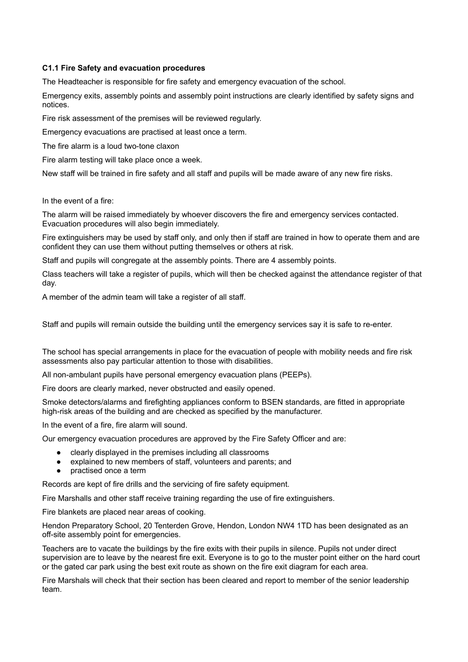## **C1.1 Fire Safety and evacuation procedures**

The Headteacher is responsible for fire safety and emergency evacuation of the school.

Emergency exits, assembly points and assembly point instructions are clearly identified by safety signs and notices.

Fire risk assessment of the premises will be reviewed regularly.

Emergency evacuations are practised at least once a term.

The fire alarm is a loud two-tone claxon

Fire alarm testing will take place once a week.

New staff will be trained in fire safety and all staff and pupils will be made aware of any new fire risks.

In the event of a fire:

The alarm will be raised immediately by whoever discovers the fire and emergency services contacted. Evacuation procedures will also begin immediately.

Fire extinguishers may be used by staff only, and only then if staff are trained in how to operate them and are confident they can use them without putting themselves or others at risk.

Staff and pupils will congregate at the assembly points. There are 4 assembly points.

Class teachers will take a register of pupils, which will then be checked against the attendance register of that day.

A member of the admin team will take a register of all staff.

Staff and pupils will remain outside the building until the emergency services say it is safe to re-enter.

The school has special arrangements in place for the evacuation of people with mobility needs and fire risk assessments also pay particular attention to those with disabilities.

All non-ambulant pupils have personal emergency evacuation plans (PEEPs).

Fire doors are clearly marked, never obstructed and easily opened.

Smoke detectors/alarms and firefighting appliances conform to BSEN standards, are fitted in appropriate high-risk areas of the building and are checked as specified by the manufacturer.

In the event of a fire, fire alarm will sound.

Our emergency evacuation procedures are approved by the Fire Safety Officer and are:

- clearly displayed in the premises including all classrooms
- explained to new members of staff, volunteers and parents; and
- practised once a term

Records are kept of fire drills and the servicing of fire safety equipment.

Fire Marshalls and other staff receive training regarding the use of fire extinguishers.

Fire blankets are placed near areas of cooking.

Hendon Preparatory School, 20 Tenterden Grove, Hendon, London NW4 1TD has been designated as an off-site assembly point for emergencies.

Teachers are to vacate the buildings by the fire exits with their pupils in silence. Pupils not under direct supervision are to leave by the nearest fire exit. Everyone is to go to the muster point either on the hard court or the gated car park using the best exit route as shown on the fire exit diagram for each area.

Fire Marshals will check that their section has been cleared and report to member of the senior leadership team.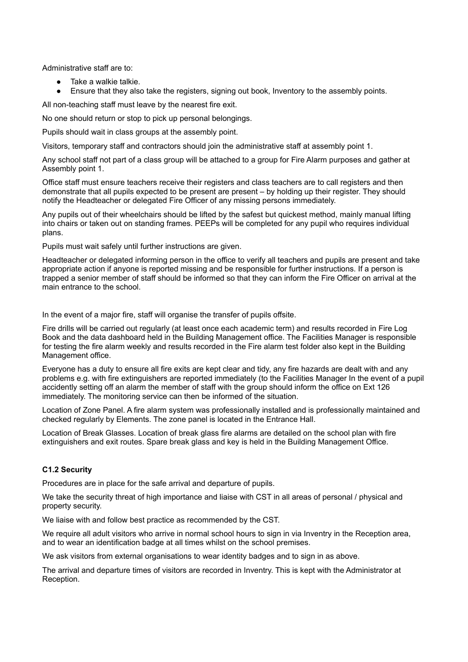Administrative staff are to:

- Take a walkie talkie.
- Ensure that they also take the registers, signing out book, Inventory to the assembly points.

All non-teaching staff must leave by the nearest fire exit.

No one should return or stop to pick up personal belongings.

Pupils should wait in class groups at the assembly point.

Visitors, temporary staff and contractors should join the administrative staff at assembly point 1.

Any school staff not part of a class group will be attached to a group for Fire Alarm purposes and gather at Assembly point 1.

Office staff must ensure teachers receive their registers and class teachers are to call registers and then demonstrate that all pupils expected to be present are present – by holding up their register. They should notify the Headteacher or delegated Fire Officer of any missing persons immediately.

Any pupils out of their wheelchairs should be lifted by the safest but quickest method, mainly manual lifting into chairs or taken out on standing frames. PEEPs will be completed for any pupil who requires individual plans.

Pupils must wait safely until further instructions are given.

Headteacher or delegated informing person in the office to verify all teachers and pupils are present and take appropriate action if anyone is reported missing and be responsible for further instructions. If a person is trapped a senior member of staff should be informed so that they can inform the Fire Officer on arrival at the main entrance to the school.

In the event of a major fire, staff will organise the transfer of pupils offsite.

Fire drills will be carried out regularly (at least once each academic term) and results recorded in Fire Log Book and the data dashboard held in the Building Management office. The Facilities Manager is responsible for testing the fire alarm weekly and results recorded in the Fire alarm test folder also kept in the Building Management office.

Everyone has a duty to ensure all fire exits are kept clear and tidy, any fire hazards are dealt with and any problems e.g. with fire extinguishers are reported immediately (to the Facilities Manager In the event of a pupil accidently setting off an alarm the member of staff with the group should inform the office on Ext 126 immediately. The monitoring service can then be informed of the situation.

Location of Zone Panel. A fire alarm system was professionally installed and is professionally maintained and checked regularly by Elements. The zone panel is located in the Entrance Hall.

Location of Break Glasses. Location of break glass fire alarms are detailed on the school plan with fire extinguishers and exit routes. Spare break glass and key is held in the Building Management Office.

# **C1.2 Security**

Procedures are in place for the safe arrival and departure of pupils.

We take the security threat of high importance and liaise with CST in all areas of personal / physical and property security.

We liaise with and follow best practice as recommended by the CST.

We require all adult visitors who arrive in normal school hours to sign in via Inventry in the Reception area, and to wear an identification badge at all times whilst on the school premises.

We ask visitors from external organisations to wear identity badges and to sign in as above.

The arrival and departure times of visitors are recorded in Inventry. This is kept with the Administrator at Reception.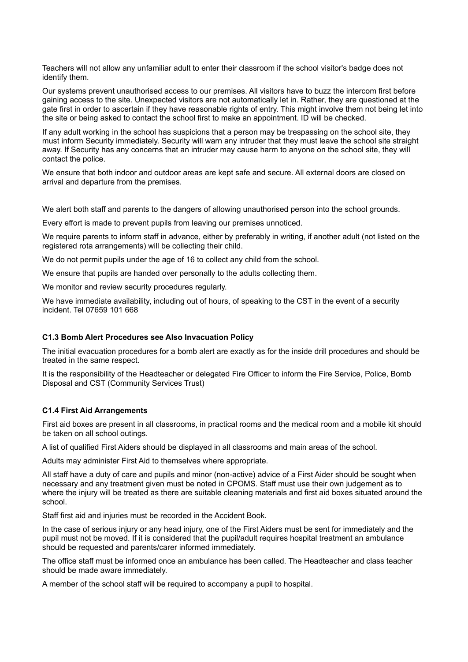Teachers will not allow any unfamiliar adult to enter their classroom if the school visitor's badge does not identify them.

Our systems prevent unauthorised access to our premises. All visitors have to buzz the intercom first before gaining access to the site. Unexpected visitors are not automatically let in. Rather, they are questioned at the gate first in order to ascertain if they have reasonable rights of entry. This might involve them not being let into the site or being asked to contact the school first to make an appointment. ID will be checked.

If any adult working in the school has suspicions that a person may be trespassing on the school site, they must inform Security immediately. Security will warn any intruder that they must leave the school site straight away. If Security has any concerns that an intruder may cause harm to anyone on the school site, they will contact the police.

We ensure that both indoor and outdoor areas are kept safe and secure. All external doors are closed on arrival and departure from the premises.

We alert both staff and parents to the dangers of allowing unauthorised person into the school grounds.

Every effort is made to prevent pupils from leaving our premises unnoticed.

We require parents to inform staff in advance, either by preferably in writing, if another adult (not listed on the registered rota arrangements) will be collecting their child.

We do not permit pupils under the age of 16 to collect any child from the school.

We ensure that pupils are handed over personally to the adults collecting them.

We monitor and review security procedures regularly.

We have immediate availability, including out of hours, of speaking to the CST in the event of a security incident. Tel 07659 101 668

#### **C1.3 Bomb Alert Procedures see Also Invacuation Policy**

The initial evacuation procedures for a bomb alert are exactly as for the inside drill procedures and should be treated in the same respect.

It is the responsibility of the Headteacher or delegated Fire Officer to inform the Fire Service, Police, Bomb Disposal and CST (Community Services Trust)

### **C1.4 First Aid Arrangements**

First aid boxes are present in all classrooms, in practical rooms and the medical room and a mobile kit should be taken on all school outings.

A list of qualified First Aiders should be displayed in all classrooms and main areas of the school.

Adults may administer First Aid to themselves where appropriate.

All staff have a duty of care and pupils and minor (non-active) advice of a First Aider should be sought when necessary and any treatment given must be noted in CPOMS. Staff must use their own judgement as to where the injury will be treated as there are suitable cleaning materials and first aid boxes situated around the school.

Staff first aid and injuries must be recorded in the Accident Book.

In the case of serious injury or any head injury, one of the First Aiders must be sent for immediately and the pupil must not be moved. If it is considered that the pupil/adult requires hospital treatment an ambulance should be requested and parents/carer informed immediately.

The office staff must be informed once an ambulance has been called. The Headteacher and class teacher should be made aware immediately.

A member of the school staff will be required to accompany a pupil to hospital.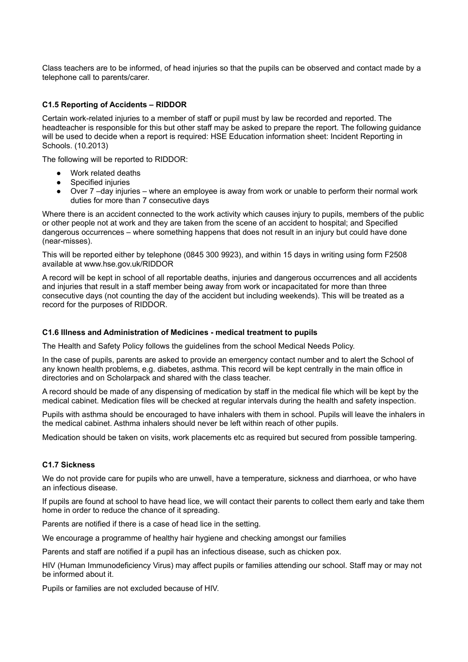Class teachers are to be informed, of head injuries so that the pupils can be observed and contact made by a telephone call to parents/carer.

## **C1.5 Reporting of Accidents – RIDDOR**

Certain work-related injuries to a member of staff or pupil must by law be recorded and reported. The headteacher is responsible for this but other staff may be asked to prepare the report. The following guidance will be used to decide when a report is required: HSE Education information sheet: Incident Reporting in Schools. (10.2013)

The following will be reported to RIDDOR:

- Work related deaths
- **Specified injuries**
- Over 7 –day injuries where an employee is away from work or unable to perform their normal work duties for more than 7 consecutive days

Where there is an accident connected to the work activity which causes injury to pupils, members of the public or other people not at work and they are taken from the scene of an accident to hospital; and Specified dangerous occurrences – where something happens that does not result in an injury but could have done (near-misses).

This will be reported either by telephone (0845 300 9923), and within 15 days in writing using form F2508 available at www.hse.gov.uk/RIDDOR

A record will be kept in school of all reportable deaths, injuries and dangerous occurrences and all accidents and injuries that result in a staff member being away from work or incapacitated for more than three consecutive days (not counting the day of the accident but including weekends). This will be treated as a record for the purposes of RIDDOR.

# **C1.6 Illness and Administration of Medicines - medical treatment to pupils**

The Health and Safety Policy follows the guidelines from the school Medical Needs Policy.

In the case of pupils, parents are asked to provide an emergency contact number and to alert the School of any known health problems, e.g. diabetes, asthma. This record will be kept centrally in the main office in directories and on Scholarpack and shared with the class teacher.

A record should be made of any dispensing of medication by staff in the medical file which will be kept by the medical cabinet. Medication files will be checked at regular intervals during the health and safety inspection.

Pupils with asthma should be encouraged to have inhalers with them in school. Pupils will leave the inhalers in the medical cabinet. Asthma inhalers should never be left within reach of other pupils.

Medication should be taken on visits, work placements etc as required but secured from possible tampering.

## **C1.7 Sickness**

We do not provide care for pupils who are unwell, have a temperature, sickness and diarrhoea, or who have an infectious disease.

If pupils are found at school to have head lice, we will contact their parents to collect them early and take them home in order to reduce the chance of it spreading.

Parents are notified if there is a case of head lice in the setting.

We encourage a programme of healthy hair hygiene and checking amongst our families

Parents and staff are notified if a pupil has an infectious disease, such as chicken pox.

HIV (Human Immunodeficiency Virus) may affect pupils or families attending our school. Staff may or may not be informed about it.

Pupils or families are not excluded because of HIV.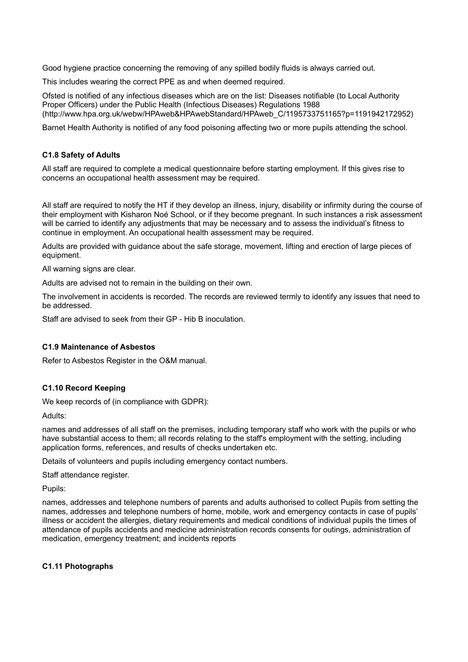Good hygiene practice concerning the removing of any spilled bodily fluids is always carried out.

This includes wearing the correct PPE as and when deemed required.

Ofsted is notified of any infectious diseases which are on the list: Diseases notifiable (to Local Authority Proper Officers) under the Public Health (Infectious Diseases) Regulations 1988 (http://www.hpa.org.uk/webw/HPAweb&HPAwebStandard/HPAweb\_C/1195733751165?p=1191942172952)

Barnet Health Authority is notified of any food poisoning affecting two or more pupils attending the school.

#### **C1.8 Safety of Adults**

All staff are required to complete a medical questionnaire before starting employment. If this gives rise to concerns an occupational health assessment may be required.

All staff are required to notify the HT if they develop an illness, injury, disability or infirmity during the course of their employment with Kisharon Noé School, or if they become pregnant. In such instances a risk assessment will be carried to identify any adjustments that may be necessary and to assess the individual's fitness to continue in employment. An occupational health assessment may be required.

Adults are provided with guidance about the safe storage, movement, lifting and erection of large pieces of equipment.

All warning signs are clear.

Adults are advised not to remain in the building on their own.

The involvement in accidents is recorded. The records are reviewed termly to identify any issues that need to be addressed.

Staff are advised to seek from their GP - Hib B inoculation.

#### **C1.9 Maintenance of Asbestos**

Refer to Asbestos Register in the O&M manual.

## **C1.10 Record Keeping**

We keep records of (in compliance with GDPR):

Adults:

names and addresses of all staff on the premises, including temporary staff who work with the pupils or who have substantial access to them; all records relating to the staff's employment with the setting, including application forms, references, and results of checks undertaken etc.

Details of volunteers and pupils including emergency contact numbers.

Staff attendance register.

Pupils:

names, addresses and telephone numbers of parents and adults authorised to collect Pupils from setting the names, addresses and telephone numbers of home, mobile, work and emergency contacts in case of pupils' illness or accident the allergies, dietary requirements and medical conditions of individual pupils the times of attendance of pupils accidents and medicine administration records consents for outings, administration of medication, emergency treatment; and incidents reports

#### **C1.11 Photographs**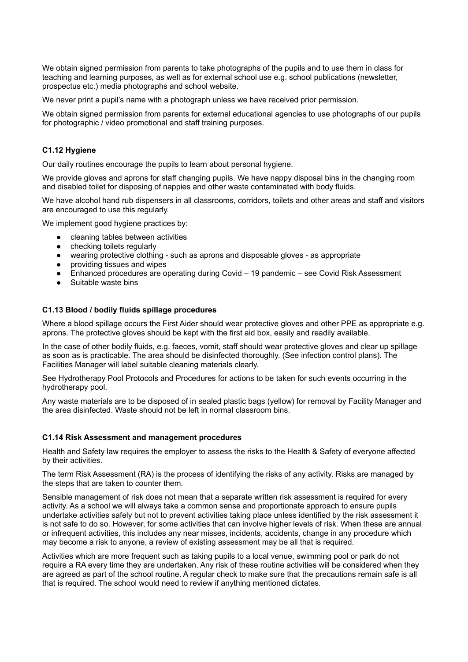We obtain signed permission from parents to take photographs of the pupils and to use them in class for teaching and learning purposes, as well as for external school use e.g. school publications (newsletter, prospectus etc.) media photographs and school website.

We never print a pupil's name with a photograph unless we have received prior permission.

We obtain signed permission from parents for external educational agencies to use photographs of our pupils for photographic / video promotional and staff training purposes.

# **C1.12 Hygiene**

Our daily routines encourage the pupils to learn about personal hygiene.

We provide gloves and aprons for staff changing pupils. We have nappy disposal bins in the changing room and disabled toilet for disposing of nappies and other waste contaminated with body fluids.

We have alcohol hand rub dispensers in all classrooms, corridors, toilets and other areas and staff and visitors are encouraged to use this regularly.

We implement good hygiene practices by:

- cleaning tables between activities
- checking toilets regularly
- wearing protective clothing such as aprons and disposable gloves as appropriate
- providing tissues and wipes
- Enhanced procedures are operating during Covid 19 pandemic see Covid Risk Assessment
- Suitable waste bins

## **C1.13 Blood / bodily fluids spillage procedures**

Where a blood spillage occurs the First Aider should wear protective gloves and other PPE as appropriate e.g. aprons. The protective gloves should be kept with the first aid box, easily and readily available.

In the case of other bodily fluids, e.g. faeces, vomit, staff should wear protective gloves and clear up spillage as soon as is practicable. The area should be disinfected thoroughly. (See infection control plans). The Facilities Manager will label suitable cleaning materials clearly.

See Hydrotherapy Pool Protocols and Procedures for actions to be taken for such events occurring in the hydrotherapy pool.

Any waste materials are to be disposed of in sealed plastic bags (yellow) for removal by Facility Manager and the area disinfected. Waste should not be left in normal classroom bins.

#### **C1.14 Risk Assessment and management procedures**

Health and Safety law requires the employer to assess the risks to the Health & Safety of everyone affected by their activities.

The term Risk Assessment (RA) is the process of identifying the risks of any activity. Risks are managed by the steps that are taken to counter them.

Sensible management of risk does not mean that a separate written risk assessment is required for every activity. As a school we will always take a common sense and proportionate approach to ensure pupils undertake activities safely but not to prevent activities taking place unless identified by the risk assessment it is not safe to do so. However, for some activities that can involve higher levels of risk. When these are annual or infrequent activities, this includes any near misses, incidents, accidents, change in any procedure which may become a risk to anyone, a review of existing assessment may be all that is required.

Activities which are more frequent such as taking pupils to a local venue, swimming pool or park do not require a RA every time they are undertaken. Any risk of these routine activities will be considered when they are agreed as part of the school routine. A regular check to make sure that the precautions remain safe is all that is required. The school would need to review if anything mentioned dictates.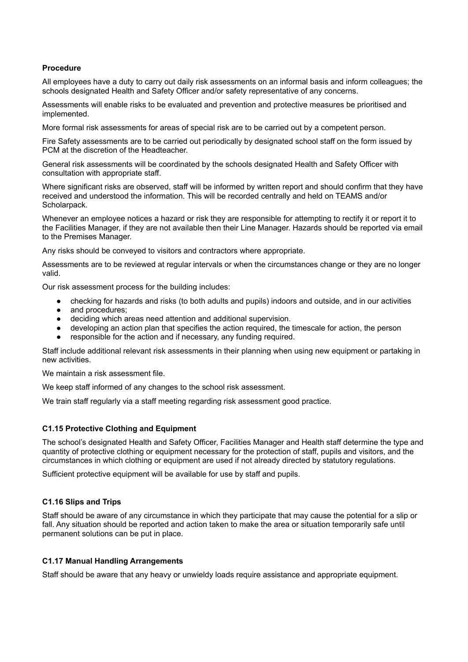# **Procedure**

All employees have a duty to carry out daily risk assessments on an informal basis and inform colleagues; the schools designated Health and Safety Officer and/or safety representative of any concerns.

Assessments will enable risks to be evaluated and prevention and protective measures be prioritised and implemented.

More formal risk assessments for areas of special risk are to be carried out by a competent person.

Fire Safety assessments are to be carried out periodically by designated school staff on the form issued by PCM at the discretion of the Headteacher.

General risk assessments will be coordinated by the schools designated Health and Safety Officer with consultation with appropriate staff.

Where significant risks are observed, staff will be informed by written report and should confirm that they have received and understood the information. This will be recorded centrally and held on TEAMS and/or Scholarpack.

Whenever an employee notices a hazard or risk they are responsible for attempting to rectify it or report it to the Facilities Manager, if they are not available then their Line Manager. Hazards should be reported via email to the Premises Manager.

Any risks should be conveyed to visitors and contractors where appropriate.

Assessments are to be reviewed at regular intervals or when the circumstances change or they are no longer valid.

Our risk assessment process for the building includes:

- checking for hazards and risks (to both adults and pupils) indoors and outside, and in our activities
- and procedures:
- deciding which areas need attention and additional supervision.
- developing an action plan that specifies the action required, the timescale for action, the person
- responsible for the action and if necessary, any funding required.

Staff include additional relevant risk assessments in their planning when using new equipment or partaking in new activities.

We maintain a risk assessment file.

We keep staff informed of any changes to the school risk assessment.

We train staff regularly via a staff meeting regarding risk assessment good practice.

# **C1.15 Protective Clothing and Equipment**

The school's designated Health and Safety Officer, Facilities Manager and Health staff determine the type and quantity of protective clothing or equipment necessary for the protection of staff, pupils and visitors, and the circumstances in which clothing or equipment are used if not already directed by statutory regulations.

Sufficient protective equipment will be available for use by staff and pupils.

# **C1.16 Slips and Trips**

Staff should be aware of any circumstance in which they participate that may cause the potential for a slip or fall. Any situation should be reported and action taken to make the area or situation temporarily safe until permanent solutions can be put in place.

# **C1.17 Manual Handling Arrangements**

Staff should be aware that any heavy or unwieldy loads require assistance and appropriate equipment.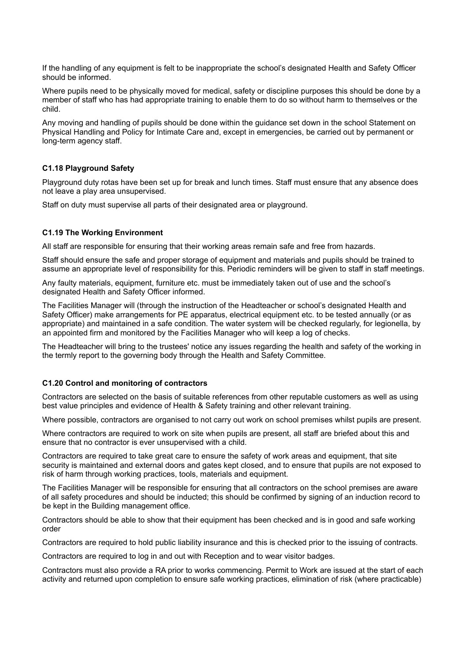If the handling of any equipment is felt to be inappropriate the school's designated Health and Safety Officer should be informed.

Where pupils need to be physically moved for medical, safety or discipline purposes this should be done by a member of staff who has had appropriate training to enable them to do so without harm to themselves or the child.

Any moving and handling of pupils should be done within the guidance set down in the school Statement on Physical Handling and Policy for Intimate Care and, except in emergencies, be carried out by permanent or long-term agency staff.

## **C1.18 Playground Safety**

Playground duty rotas have been set up for break and lunch times. Staff must ensure that any absence does not leave a play area unsupervised.

Staff on duty must supervise all parts of their designated area or playground.

#### **C1.19 The Working Environment**

All staff are responsible for ensuring that their working areas remain safe and free from hazards.

Staff should ensure the safe and proper storage of equipment and materials and pupils should be trained to assume an appropriate level of responsibility for this. Periodic reminders will be given to staff in staff meetings.

Any faulty materials, equipment, furniture etc. must be immediately taken out of use and the school's designated Health and Safety Officer informed.

The Facilities Manager will (through the instruction of the Headteacher or school's designated Health and Safety Officer) make arrangements for PE apparatus, electrical equipment etc. to be tested annually (or as appropriate) and maintained in a safe condition. The water system will be checked regularly, for legionella, by an appointed firm and monitored by the Facilities Manager who will keep a log of checks.

The Headteacher will bring to the trustees' notice any issues regarding the health and safety of the working in the termly report to the governing body through the Health and Safety Committee.

## **C1.20 Control and monitoring of contractors**

Contractors are selected on the basis of suitable references from other reputable customers as well as using best value principles and evidence of Health & Safety training and other relevant training.

Where possible, contractors are organised to not carry out work on school premises whilst pupils are present.

Where contractors are required to work on site when pupils are present, all staff are briefed about this and ensure that no contractor is ever unsupervised with a child.

Contractors are required to take great care to ensure the safety of work areas and equipment, that site security is maintained and external doors and gates kept closed, and to ensure that pupils are not exposed to risk of harm through working practices, tools, materials and equipment.

The Facilities Manager will be responsible for ensuring that all contractors on the school premises are aware of all safety procedures and should be inducted; this should be confirmed by signing of an induction record to be kept in the Building management office.

Contractors should be able to show that their equipment has been checked and is in good and safe working order

Contractors are required to hold public liability insurance and this is checked prior to the issuing of contracts.

Contractors are required to log in and out with Reception and to wear visitor badges.

Contractors must also provide a RA prior to works commencing. Permit to Work are issued at the start of each activity and returned upon completion to ensure safe working practices, elimination of risk (where practicable)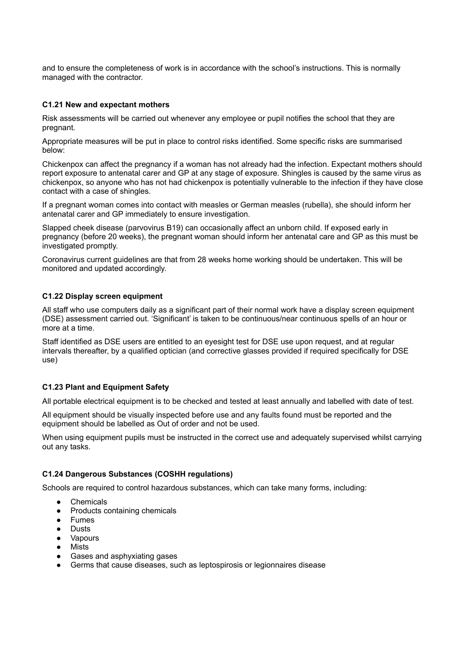and to ensure the completeness of work is in accordance with the school's instructions. This is normally managed with the contractor.

## **C1.21 New and expectant mothers**

Risk assessments will be carried out whenever any employee or pupil notifies the school that they are pregnant.

Appropriate measures will be put in place to control risks identified. Some specific risks are summarised below:

Chickenpox can affect the pregnancy if a woman has not already had the infection. Expectant mothers should report exposure to antenatal carer and GP at any stage of exposure. Shingles is caused by the same virus as chickenpox, so anyone who has not had chickenpox is potentially vulnerable to the infection if they have close contact with a case of shingles.

If a pregnant woman comes into contact with measles or German measles (rubella), she should inform her antenatal carer and GP immediately to ensure investigation.

Slapped cheek disease (parvovirus B19) can occasionally affect an unborn child. If exposed early in pregnancy (before 20 weeks), the pregnant woman should inform her antenatal care and GP as this must be investigated promptly.

Coronavirus current guidelines are that from 28 weeks home working should be undertaken. This will be monitored and updated accordingly.

## **C1.22 Display screen equipment**

All staff who use computers daily as a significant part of their normal work have a display screen equipment (DSE) assessment carried out. 'Significant' is taken to be continuous/near continuous spells of an hour or more at a time.

Staff identified as DSE users are entitled to an evesight test for DSE use upon request, and at regular intervals thereafter, by a qualified optician (and corrective glasses provided if required specifically for DSE use)

# **C1.23 Plant and Equipment Safety**

All portable electrical equipment is to be checked and tested at least annually and labelled with date of test.

All equipment should be visually inspected before use and any faults found must be reported and the equipment should be labelled as Out of order and not be used.

When using equipment pupils must be instructed in the correct use and adequately supervised whilst carrying out any tasks.

#### **C1.24 Dangerous Substances (COSHH regulations)**

Schools are required to control hazardous substances, which can take many forms, including:

- Chemicals
- Products containing chemicals
- Fumes
- Dusts
- Vapours
- Mists
- Gases and asphyxiating gases
- Germs that cause diseases, such as leptospirosis or legionnaires disease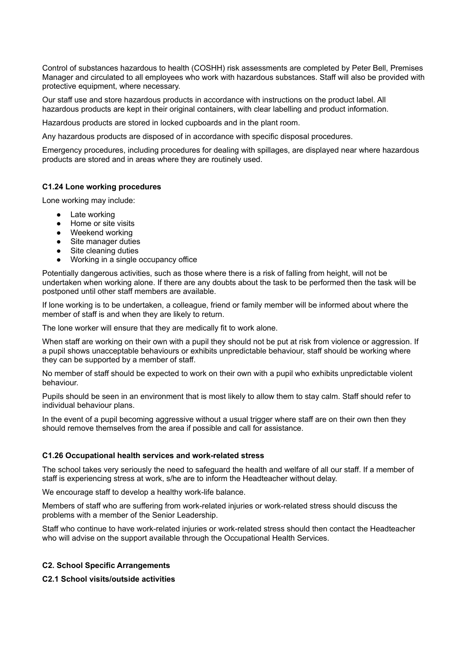Control of substances hazardous to health (COSHH) risk assessments are completed by Peter Bell, Premises Manager and circulated to all employees who work with hazardous substances. Staff will also be provided with protective equipment, where necessary.

Our staff use and store hazardous products in accordance with instructions on the product label. All hazardous products are kept in their original containers, with clear labelling and product information.

Hazardous products are stored in locked cupboards and in the plant room.

Any hazardous products are disposed of in accordance with specific disposal procedures.

Emergency procedures, including procedures for dealing with spillages, are displayed near where hazardous products are stored and in areas where they are routinely used.

#### **C1.24 Lone working procedures**

Lone working may include:

- Late working
- Home or site visits
- Weekend working
- Site manager duties
- Site cleaning duties
- Working in a single occupancy office

Potentially dangerous activities, such as those where there is a risk of falling from height, will not be undertaken when working alone. If there are any doubts about the task to be performed then the task will be postponed until other staff members are available.

If lone working is to be undertaken, a colleague, friend or family member will be informed about where the member of staff is and when they are likely to return.

The lone worker will ensure that they are medically fit to work alone.

When staff are working on their own with a pupil they should not be put at risk from violence or aggression. If a pupil shows unacceptable behaviours or exhibits unpredictable behaviour, staff should be working where they can be supported by a member of staff.

No member of staff should be expected to work on their own with a pupil who exhibits unpredictable violent behaviour.

Pupils should be seen in an environment that is most likely to allow them to stay calm. Staff should refer to individual behaviour plans.

In the event of a pupil becoming aggressive without a usual trigger where staff are on their own then they should remove themselves from the area if possible and call for assistance.

#### **C1.26 Occupational health services and work-related stress**

The school takes very seriously the need to safeguard the health and welfare of all our staff. If a member of staff is experiencing stress at work, s/he are to inform the Headteacher without delay.

We encourage staff to develop a healthy work-life balance.

Members of staff who are suffering from work-related injuries or work-related stress should discuss the problems with a member of the Senior Leadership.

Staff who continue to have work-related injuries or work-related stress should then contact the Headteacher who will advise on the support available through the Occupational Health Services.

#### **C2. School Specific Arrangements**

#### **C2.1 School visits/outside activities**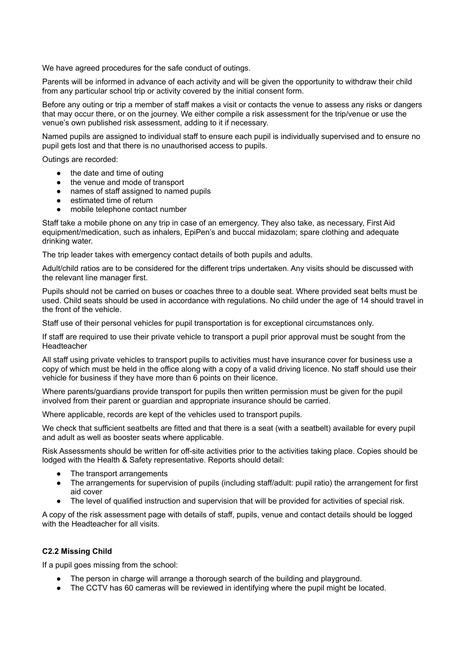We have agreed procedures for the safe conduct of outings.

Parents will be informed in advance of each activity and will be given the opportunity to withdraw their child from any particular school trip or activity covered by the initial consent form.

Before any outing or trip a member of staff makes a visit or contacts the venue to assess any risks or dangers that may occur there, or on the journey. We either compile a risk assessment for the trip/venue or use the venue's own published risk assessment, adding to it if necessary.

Named pupils are assigned to individual staff to ensure each pupil is individually supervised and to ensure no pupil gets lost and that there is no unauthorised access to pupils.

Outings are recorded:

- the date and time of outing
- the venue and mode of transport
- names of staff assigned to named pupils
- estimated time of return
- mobile telephone contact number

Staff take a mobile phone on any trip in case of an emergency. They also take, as necessary, First Aid equipment/medication, such as inhalers, EpiPen's and buccal midazolam; spare clothing and adequate drinking water.

The trip leader takes with emergency contact details of both pupils and adults.

Adult/child ratios are to be considered for the different trips undertaken. Any visits should be discussed with the relevant line manager first.

Pupils should not be carried on buses or coaches three to a double seat. Where provided seat belts must be used. Child seats should be used in accordance with regulations. No child under the age of 14 should travel in the front of the vehicle.

Staff use of their personal vehicles for pupil transportation is for exceptional circumstances only.

If staff are required to use their private vehicle to transport a pupil prior approval must be sought from the **Headteacher** 

All staff using private vehicles to transport pupils to activities must have insurance cover for business use a copy of which must be held in the office along with a copy of a valid driving licence. No staff should use their vehicle for business if they have more than 6 points on their licence.

Where parents/guardians provide transport for pupils then written permission must be given for the pupil involved from their parent or guardian and appropriate insurance should be carried.

Where applicable, records are kept of the vehicles used to transport pupils.

We check that sufficient seatbelts are fitted and that there is a seat (with a seatbelt) available for every pupil and adult as well as booster seats where applicable.

Risk Assessments should be written for off-site activities prior to the activities taking place. Copies should be lodged with the Health & Safety representative. Reports should detail:

- The transport arrangements
- The arrangements for supervision of pupils (including staff/adult: pupil ratio) the arrangement for first aid cover
- The level of qualified instruction and supervision that will be provided for activities of special risk.

A copy of the risk assessment page with details of staff, pupils, venue and contact details should be logged with the Headteacher for all visits.

# **C2.2 Missing Child**

If a pupil goes missing from the school:

- The person in charge will arrange a thorough search of the building and playground.
- The CCTV has 60 cameras will be reviewed in identifying where the pupil might be located.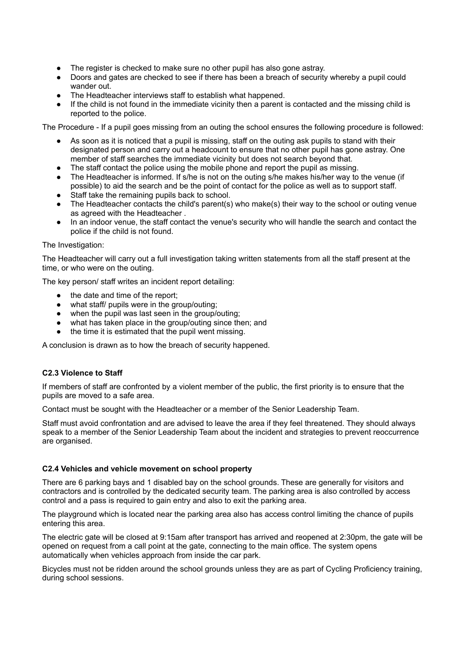- The register is checked to make sure no other pupil has also gone astray.
- Doors and gates are checked to see if there has been a breach of security whereby a pupil could wander out.
- The Headteacher interviews staff to establish what happened.
- If the child is not found in the immediate vicinity then a parent is contacted and the missing child is reported to the police.

The Procedure - If a pupil goes missing from an outing the school ensures the following procedure is followed:

- As soon as it is noticed that a pupil is missing, staff on the outing ask pupils to stand with their designated person and carry out a headcount to ensure that no other pupil has gone astray. One member of staff searches the immediate vicinity but does not search beyond that.
- The staff contact the police using the mobile phone and report the pupil as missing.
- The Headteacher is informed. If s/he is not on the outing s/he makes his/her way to the venue (if possible) to aid the search and be the point of contact for the police as well as to support staff.
- Staff take the remaining pupils back to school.
- The Headteacher contacts the child's parent(s) who make(s) their way to the school or outing venue as agreed with the Headteacher .
- In an indoor venue, the staff contact the venue's security who will handle the search and contact the police if the child is not found.

#### The Investigation:

The Headteacher will carry out a full investigation taking written statements from all the staff present at the time, or who were on the outing.

The key person/ staff writes an incident report detailing:

- the date and time of the report;
- what staff/ pupils were in the group/outing;
- when the pupil was last seen in the group/outing;
- what has taken place in the group/outing since then; and
- the time it is estimated that the pupil went missing.

A conclusion is drawn as to how the breach of security happened.

#### **C2.3 Violence to Staff**

If members of staff are confronted by a violent member of the public, the first priority is to ensure that the pupils are moved to a safe area.

Contact must be sought with the Headteacher or a member of the Senior Leadership Team.

Staff must avoid confrontation and are advised to leave the area if they feel threatened. They should always speak to a member of the Senior Leadership Team about the incident and strategies to prevent reoccurrence are organised.

## **C2.4 Vehicles and vehicle movement on school property**

There are 6 parking bays and 1 disabled bay on the school grounds. These are generally for visitors and contractors and is controlled by the dedicated security team. The parking area is also controlled by access control and a pass is required to gain entry and also to exit the parking area.

The playground which is located near the parking area also has access control limiting the chance of pupils entering this area.

The electric gate will be closed at 9:15am after transport has arrived and reopened at 2:30pm, the gate will be opened on request from a call point at the gate, connecting to the main office. The system opens automatically when vehicles approach from inside the car park.

Bicycles must not be ridden around the school grounds unless they are as part of Cycling Proficiency training, during school sessions.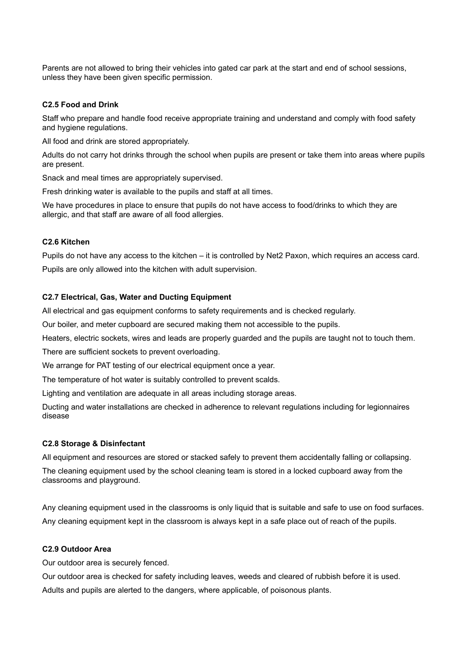Parents are not allowed to bring their vehicles into gated car park at the start and end of school sessions, unless they have been given specific permission.

## **C2.5 Food and Drink**

Staff who prepare and handle food receive appropriate training and understand and comply with food safety and hygiene regulations.

All food and drink are stored appropriately.

Adults do not carry hot drinks through the school when pupils are present or take them into areas where pupils are present.

Snack and meal times are appropriately supervised.

Fresh drinking water is available to the pupils and staff at all times.

We have procedures in place to ensure that pupils do not have access to food/drinks to which they are allergic, and that staff are aware of all food allergies.

# **C2.6 Kitchen**

Pupils do not have any access to the kitchen – it is controlled by Net2 Paxon, which requires an access card.

Pupils are only allowed into the kitchen with adult supervision.

# **C2.7 Electrical, Gas, Water and Ducting Equipment**

All electrical and gas equipment conforms to safety requirements and is checked regularly.

Our boiler, and meter cupboard are secured making them not accessible to the pupils.

Heaters, electric sockets, wires and leads are properly guarded and the pupils are taught not to touch them.

There are sufficient sockets to prevent overloading.

We arrange for PAT testing of our electrical equipment once a year.

The temperature of hot water is suitably controlled to prevent scalds.

Lighting and ventilation are adequate in all areas including storage areas.

Ducting and water installations are checked in adherence to relevant regulations including for legionnaires disease

# **C2.8 Storage & Disinfectant**

All equipment and resources are stored or stacked safely to prevent them accidentally falling or collapsing.

The cleaning equipment used by the school cleaning team is stored in a locked cupboard away from the classrooms and playground.

Any cleaning equipment used in the classrooms is only liquid that is suitable and safe to use on food surfaces. Any cleaning equipment kept in the classroom is always kept in a safe place out of reach of the pupils.

# **C2.9 Outdoor Area**

Our outdoor area is securely fenced.

Our outdoor area is checked for safety including leaves, weeds and cleared of rubbish before it is used. Adults and pupils are alerted to the dangers, where applicable, of poisonous plants.